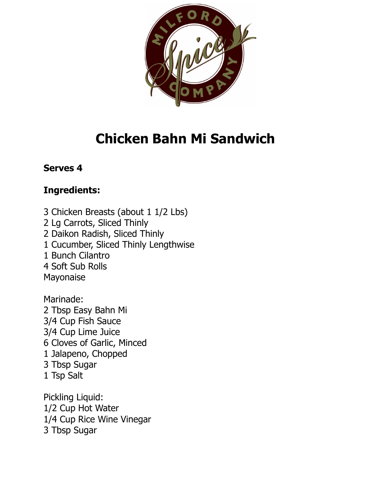

# **Chicken Bahn Mi Sandwich**

#### **Serves 4**

## **Ingredients:**

3 Chicken Breasts (about 1 1/2 Lbs) 2 Lg Carrots, Sliced Thinly 2 Daikon Radish, Sliced Thinly 1 Cucumber, Sliced Thinly Lengthwise 1 Bunch Cilantro 4 Soft Sub Rolls Mayonaise

Marinade: 2 Tbsp Easy Bahn Mi 3/4 Cup Fish Sauce 3/4 Cup Lime Juice 6 Cloves of Garlic, Minced 1 Jalapeno, Chopped 3 Tbsp Sugar 1 Tsp Salt

Pickling Liquid: 1/2 Cup Hot Water 1/4 Cup Rice Wine Vinegar 3 Tbsp Sugar